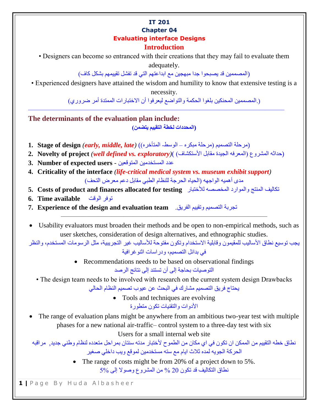#### **IT 201 Chapter 04 Evaluating interface Designs Introduction**

• Designers can become so entranced with their creations that they may fail to evaluate them adequately.

(المصممين قد يصبحوا جدا مبهجين مع ابداعتهم التي قد تفشل تقييمهم بشكل كاف(

• Experienced designers have attained the wisdom and humility to know that extensive testing is a necessity.

(.المصممين المحنكين بلغوا الحكمة والتواضع ليعرفوا أن االختبارات الممتدة أمر ضروري(

**The determinants of the evaluation plan include:**

**(المحددات لخطة التقييم يتضمن(**

- (مرحلة التصميم )مرحلة مبكره الوسط- المتأخره() *(late ,middle ,early (***design of Stage 1.**
- 2. Novelty of project *(well defined vs. exploratory)* ( (المعرفه الجيدة مقابل الأستكشاف)

––––––––––––––––––––––––––––––––––––––––––––––––––––––––––––––––––––––––––––––––––

- **3. Number of expected users** المتوقعين المستخدمين عدد
- **4. Criticality of the interface** *(life-critical medical system vs. museum exhibit support)* مدى أهميه الواجهه (الحياه الحرجة للنظام الطبي مقابل دعم معرض التحف)
- **5. Costs of product and finances allocated for testing**لألختبار المخصصه والموارد المنتج تكاليف
- توفر الوقت**available Time 6.**
- **7. Experience of the design and evaluation team**.الفريق وتقييم التصميم تجربة
- Usability evaluators must broaden their methods and be open to non-empirical methods, such as user sketches, consideration of design alternatives, and ethnographic studies.

––––––––––––––––––––––––––––––––––––––––––––––––––––––––––––––––––

يجب توسيع نطاق األساليب للمقيمون وقابلية االستخدام وتكون مفتوحة لألساليب غير التجريبية، مثل الرسومات المستخدم، والنظر في بدائل التصميم، ودراسات اثنوغرافية

- Recommendations needs to be based on observational findings التوصيات بحاجة إلى أن تستند إلى نتائج الرصد
- The design team needs to be involved with research on the current system design Drawbacks

يحتاج فريق التصميم مشارك في البحث عن عيوب تصميم النظام الحالي

• Tools and techniques are evolving

األدوات والتقنيات تكون متطورة

 The range of evaluation plans might be anywhere from an ambitious two-year test with multiple phases for a new national air-traffic– control system to a three-day test with six

Users for a small internal web site

نطاق خطه التقييم من الممكن ان تكون في اي مكان من الطموح لأختبار مدته سنتان بمراحل متعدده لنظام وطني جديد, مراقبه الحركة الجويه لمده ثالث ايام مع سته مستخدمين لموقع ويب داخلي صغير

> • The range of costs might be from 20% of a project down to 5%. نطاق التكاليف قد تكون 20 % من المشروع وصوال إلى 5%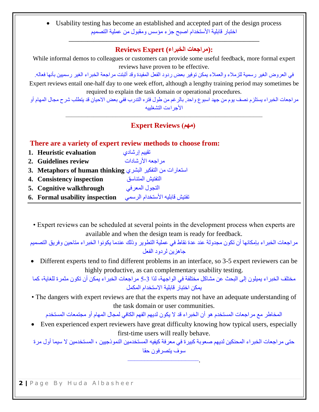Usability testing has become an established and accepted part of the design process اختبار قابلية الأستخدام اصبح جزء مؤسس ومقبول من عملية التصميم

### **––––––––––––––––––––––––––––––––––––––––––––––––––––––––––––– :(مراجعات الخبراء) Expert Reviews**

While informal demos to colleagues or customers can provide some useful feedback, more formal expert reviews have proven to be effective.

في العروض الغير رسمية للزمالء والعمالء يمكن توفير بعض ردود الفعل المفيدة وقد أثبتت مراجعة الخبراء الغير رسميين بأنها فعاله. Expert reviews entail one-half day to one week effort, although a lengthy training period may sometimes be required to explain the task domain or operational procedures.

مراجعات الخبراء يستلزم نصف يوم من جهد اسبوع واحد, بالرغم من طول فتره التدرب ففي بعض االحيان قد يتطلب شرح مجال المهام أو األجراءت التشغلييه

## ––––––––––––––––––––––––––––––––––––––––––––––––––––––––––––––– **Expert Reviews )مهم)**

## **There are a variety of expert review methods to choose from:**

- تقييم إرشادي **evaluation Heuristic 1.**
- مراجعه األرشادات **review Guidelines 2.**
- استعارات من التفكير البشري **thinking human of Metaphors 3.**
- التفتيش المتناسق **inspection Consistency 4.**
- التجول المعرفي **walkthrough Cognitive 5.**
- تفتيش قابليه األستخدام الرسمي **inspection usability Formal 6.**

• Expert reviews can be scheduled at several points in the development process when experts are available and when the design team is ready for feedback.

مراجعات الخبراء بإمكانها أن تكون مجدولة عند عدة نقاط في عملية التطوير وذلك عندما يكونوا الخبراء متاحين وفريق التصميم جاهزين لردود الفعل

 Different experts tend to find different problems in an interface, so 3-5 expert reviewers can be highly productive, as can complementary usability testing.

مختلف الخبراء يميلون إلى البحث عن مشاكل مختلفة في الواجهة، لذا 5-3 مراجعات الخبراء يمكن أن تكون مثمرة للغاية، كما يمكن اختبار قابلية االستخدام المكمل

• The dangers with expert reviews are that the experts may not have an adequate understanding of the task domain or user communities.

المخاطر مع مراجعات المستخدم هو أن الخبراء قد ال يكون لديهم الفهم الكافي لمجال المهام أو مجتمعات المستخدم

 Even experienced expert reviewers have great difficulty knowing how typical users, especially first-time users will really behave.

حتى مراجعات الخبراء المحنكين لديهم صعوبة كبيرة في معرفة كيفيه المستخدمين النموذجيين ، المستخدمين ال سيما أول مرة سوف يتصرفون حقا

–––––––––––––––––––––.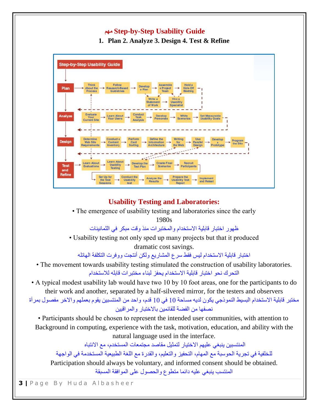# **مهم Step-by-Step Usability Guide**

**1. Plan 2. Analyze 3. Design 4. Test & Refine**



### **Usability Testing and Laboratories:**

• The emergence of usability testing and laboratories since the early

1980s

ظهور اختبار قابلية االستخدام والمختبرات منذ وقت مبكر في الثمانينات

• Usability testing not only sped up many projects but that it produced dramatic cost savings.

اختبار قابلية االستخدام ليس فقط سرع المشاريع ولكن أنتجت ووفرت التكلفة الهائله

• The movement towards usability testing stimulated the construction of usability laboratories. التحرك نحو اختبار قابلية االستخدام يحفز لبناء مختبرات قابله لالستخدام

• A typical modest usability lab would have two 10 by 10 foot areas, one for the participants to do their work and another, separated by a half-silvered mirror, for the testers and observers

مختبر قابلية االستخدام البسيط النموذجي يكون لديه مساحة 10 في 10 قدم، واحد من المنتسبين يقوم بعملهم واالخر مفصول بمرآة نصفها من الفضة للقائمين باالختبار والمراقبين

• Participants should be chosen to represent the intended user communities, with attention to Background in computing, experience with the task, motivation, education, and ability with the natural language used in the interface.

المنتسبين ينبغي عليهم االختيار لتمثيل مقاصد مجتمعات المستخدم، مع االنتباه

للخلفية في تجرية الحوسبة مع المهام، التحفيز والتعليم، والقدرة مع اللغة الطبيعية المستخدمة في الواجهة

Participation should always be voluntary, and informed consent should be obtained.

المنتسب ينبغي عليه دائما متطوع والحصول على الموافقة المسبقة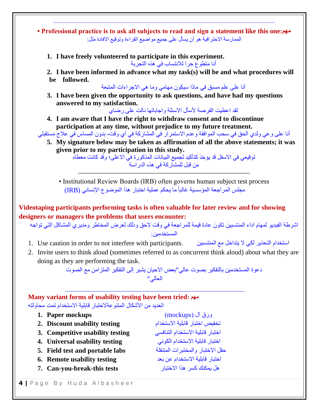**• Professional practice is to ask all subjects to read and sign a statement like this one:مهم** الممارسة الاحترافية هو أن يسأل على جميع مواضيع القراءة وتوقيع الافادة مثل:

–––––––––––––––––––––––––––––––––––––––––––––––––––––––––––––––––––––––

**1. I have freely volunteered to participate in this experiment.**

أنا متطوع حرا لالنتساب في هذه التجربة

**2. I have been informed in advance what my task(s) will be and what procedures will be followed.**

أنا على علم مسبق في ماذا سيكون مهامي وما هي االجراءات المتبعة

**3. I have been given the opportunity to ask questions, and have had my questions answered to my satisfaction.**

لقد اعطيت الفرصة لأسأل الاسئلة واجاباتها نالت على رضاي

**4. I am aware that I have the right to withdraw consent and to discontinue participation at any time, without prejudice to my future treatment.**

أنا على وعي ولدي الحق في سحب الموافقة وعدم االستمرار في المشاركة في أي وقت، بدون المساس في عالج مستقبلي

**5. My signature below may be taken as affirmation of all the above statements; it was given prior to my participation in this study.**

توقيعي في االسفل قد يؤخذ كتأكيد لجميع البيانات المذكورة في االعلى؛ وقد كانت معطاه من قبل للمشاركة في هذه الدراسة

• Institutional Review Boards (IRB) often governs human subject test process مجلس المر اجعة المؤسسية غالباً ما يحكم عملية اختبار هذا الموضوع الإنساني (IRB)

**–––––––––––––––––––––––––––––––––––––––––––––––––––––––**

**Videotaping participants performing tasks is often valuable for later review and for showing designers or managers the problems that users encounter:**

اشرطة الفيديو لمهام اداء المنتسبين تكون عادة قيمة للمراجعة في وقت الحق وذلك لعرض المخاطر ومديري المشاكل التي تواجه المستخدمين:

- 1. Use caution in order to not interfere with participants. استخدام التحذير لكي لا يتداخل مع المنتسبين المستخد
- 2. Invite users to think aloud (sometimes referred to as concurrent think aloud) about what they are doing as they are performing the task.

دعوة المستخدمين بالتفكير بصوت عالي"بعض االحيان يشير إلى التفكير المتزامن مع الصوت العالي"

#### **Many variant forms of usability testing have been tried: مهم** العديد من الأشكال المتنو عةلاختبار قابلية الاستخدام تمت محاولته

| 1. Paper mockups                 | ورق ال (mockups)                  |
|----------------------------------|-----------------------------------|
| 2. Discount usability testing    | تخفيض اختبار قابلية الاستخدام     |
| 3. Competitive usability testing | اختبار قابلية الاستخدام التنافسي  |
| 4. Universal usability testing   | اختبار قابلية الاستخدام الكوني    |
| 5. Field test and portable labs  | حقل الاختبار والمختبر ات المتنقلة |
| 6. Remote usability testing      | اختبار قابلية الاستخدام عن بعد    |
| 7. Can-you-break-this tests      | هل يمكنك كسر هذا الاختبار         |
|                                  |                                   |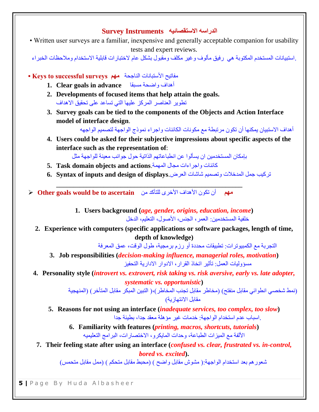### **الدراسه االستقصائيه Instruments Survey**

• Written user surveys are a familiar, inexpensive and generally acceptable companion for usability tests and expert reviews.

.استبيانات المستخدم المكتوبة هي رفيق مألوف وغير مكلف ومقبول بشكل عام الختبارات قابلية االستخدام ومالحظات الخبراء

- مفاتيح األستبانات الناجحة **مهم surveys successful to Keys•** 
	- **1. Clear goals in advance** مسبقا واضحة أهداف
	- **2. Developments of focused items that help attain the goals.** تطوير العناصر المركز عليها التي تساعد على تحقيق االهداف
	- **3. Survey goals can be tied to the components of the Objects and Action Interface model of interface design**.

أهداف االستبيان يمكنها أن تكون مرتبطة مع مكونات الكائنات واجراء نموذج الواجهة لتصميم الواجهه

**4. Users could be asked for their subjective impressions about specific aspects of the interface such as the representation of**:

بإمكان المستخدمين ان يسألوا عن انطباعاتهم الذاتية حول جوانب معينة للواجهة مثل

- **5. Task domain objects and actions**.المهمة مجال واجراءات كائنات
- **6. Syntax of inputs and design of displays**.العرض شاشات وتصميم المدخالت جمل تركيب

**\_\_\_\_\_\_\_\_\_\_\_\_\_\_\_\_\_\_\_\_\_\_\_\_\_\_\_\_\_\_\_\_\_\_\_\_\_\_\_\_\_\_\_\_\_\_\_\_\_\_\_\_\_\_\_**

 **مهم** أن تكون األهداف األخرى للتأكد من **ascertain to be would goals Other**

**1. Users background (***age, gender, origins, education, income***)** خلفية المستخدمين: العمر، الجنس، األصول، التعليم، الدخل

**2. Experience with computers (specific applications or software packages, length of time, depth of knowledge)**

التجربة مع الكمبيوترات: تطبيقات محددة أو رزم برمجية، طول الوقت، عمق المعرفة

**3. Job responsibilities (***decision-making influence, managerial roles, motivation***)** مسؤوليات العمل: تأثير اتخاذ القرار، االدوار االدارية التحفيز

**4. Personality style (***introvert vs. extrovert, risk taking vs. risk aversive, early vs. late adopter, systematic vs. opportunistic***)**

> (نمط شخصي انطوائي مقابل منفتح) (مخاطر مقابل تجنب المخاطر )،( التبين المبكر مقابل المتأخر ) (المنهجية مقابل الانتهاز بة)

**5. Reasons for not using an interface (***inadequate services, too complex, too slow***)** .اسباب عدم استخدام الواجهة: خدمات غير مؤهلة معقد جدا، بطيئة جدا

**6. Familiarity with features (***printing, macros, shortcuts, tutorials***)** األلفة مع الميزات الطباعة، وحدات المايكرو، االختصارات، البرامج التعليميه

**7. Their feeling state after using an interface (***confused vs. clear, frustrated vs. in-control, bored vs. excited***).**

شعور هم بعد استخدام الواجهة:( مشوش مقابل واضح ) (محبط مقابل متحكم ) (ممل مقابل متحمس)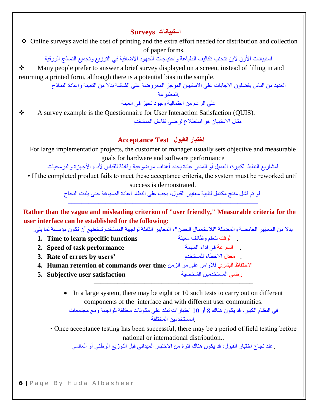### **استبيانات Surveys**

 Online surveys avoid the cost of printing and the extra effort needed for distribution and collection of paper forms.

استبيانات األون الين تتجنب تكاليف الطباعة واحتياجات الجهود االضافية في التوزيع وتجميع النماذج الورقية

• Many people prefer to answer a brief survey displayed on a screen, instead of filling in and returning a printed form, although there is a potential bias in the sample.

العديد من الناس يفضلون االجابات على االستبيان الموجز المعروضة على الشاشة بدال من التعبئة واعادة النماذج .المطبوعة

على الرغم من احتمالية وجود تحيز في العينة

 A survey example is the Questionnaire for User Interaction Satisfaction (QUIS). مثال االستبيان هو استطالع لرضى تفاعل المستخدم

# **اختبار القبول Test Acceptance**

For large implementation projects, the customer or manager usually sets objective and measurable goals for hardware and software performance

–––––––––––––––––––––––––––––––––––––––––––––––––––––––––

لمشاريع التنفيذ الكبيرة، العميل أو المدير عادة يحدد أهداف موضوعية وقابلة للقياس ألداء األجهزة والبرمجيات

• If the completed product fails to meet these acceptance criteria, the system must be reworked until success is demonstrated.

> لو تم فشل منتج مكتمل لتلبية معايير القبول، يجب على النظام اعادة الصياغة حتى يثبت النجاح ––––––––––––––––––––––––––––––––––––––––––––––––––––––––

**Rather than the vague and misleading criterion of "user friendly," Measurable criteria for the user interface can be established for the following:**

بدال من المعايير الغامضة والمضللة "لالستعمال الحسن"، المعايير القابلة لواجهة المستخدم تستطيع أن تكون مؤسسة لما يلي:

- **1. Time to learn specific functions** معينة وظائف لتعلم الوقت .
- . السرعة في اداء المهمة **performance task of Speed 2.**
- **3. Rate of errors by users'** للمستخدم االخطاء معدل .
- االحتفاظ البشري لألوامر على مر الزمن **time over commands of retention Human 4.**
- رضى المستخدمين الشخصية **satisfaction user Subjective 5.**

• In a large system, there may be eight or 10 such tests to carry out on different components of the interface and with different user communities.

–––––––––––––––––––––––––––––––––––––––––––––––

في النظام الكبير، قد يكون هناك 8 أو 10 اختبارات تنفذ على مكونات مختلفة للواجهة ومع مجتمعات .المستخدمين المختلفة

• Once acceptance testing has been successful, there may be a period of field testing before national or international distribution..

.عند نجاح اختبار القبول، قد يكون هناك فترة من االختبار الميداني قبل التوزيع الوطني أو العالمي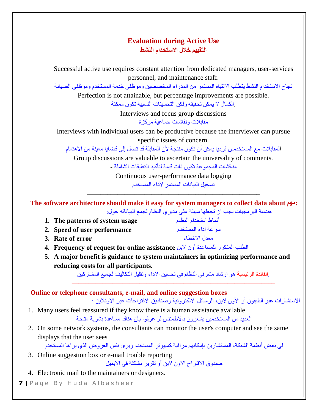# **Evaluation during Active Use التقييم خالل االستخدام النشط**

Successful active use requires constant attention from dedicated managers, user-services personnel, and maintenance staff.

نجاح االستخدام النشط يتطلب االنتباه المستمر من المدراء المخصصين وموظفي خدمة المستخدم وموظفي الصيانة

Perfection is not attainable, but percentage improvements are possible. .الكمال ال يمكن تحقيقه ولكن التحسينات النسبية تكون ممكنة

> Interviews and focus group discussions مقابالت ونقاشات جماعية مركزة

Interviews with individual users can be productive because the interviewer can pursue specific issues of concern.

المقابالت مع المستخدمين فرديا يمكن أن تكون منتجة ألن المقابلة قد تصل إلى قضايا معينة من االهتمام

Group discussions are valuable to ascertain the universality of comments.

مناقشات المجموعة تكون ذات قيمة لتأكيد التعليقات الشاملة -

Continuous user-performance data logging تسجيل البيانات المستمر ألداء المستخدم

–––––––––––––––––––––––––––––––––––––––––––––––––––

**The software architecture should make it easy for system managers to collect data about مهم:** هندسة البرمجيات يجب ان تجعلها سهلة على مديري النظام لجمع البياناته حول:

- **1. The patterns of system usage** النظام استخدام أنماط
- **2. Speed of user performance** المستخدم اداء سرعة
- **3. Rate of error** االخطاء معدل
- **4. Frequency of request for online assistance** الين أون للمساعدة المتكرر الطلب
- **5. A major benefit is guidance to system maintainers in optimizing performance and reducing costs for all participants.**

.الفائدة الرئيسية هو ارشاد مشرفي النظام في تحسين االداء وتقليل التكاليف لجميع المشاركين ––––––––––––––––––––––––––––––––––––––––––––––––––––––––––––

**Online or telephone consultants, e-mail, and online suggestion boxes**

الاستشار ات عبر التليفون أو الأون لاين، الرسائل الالكتر ونية وصناديق الاقتر احات عبر الاونلاين :

- 1. Many users feel reassured if they know there is a human assistance available العديد من المستخدمين يشعرون باالطمئنان لو عرفوا بأن هناك مساعدة بشرية متاحة
- 2. On some network systems, the consultants can monitor the user's computer and see the same displays that the user sees

في بعض أنظمة الشبكة، المستشارين بإمكانهم مراقبة كمبيوتر المستخدم ويرى نفس العروض الذي يراها المستخدم

3. Online suggestion box or e-mail trouble reporting

صندوق االقتراح االون الين أو تقرير مشكلة في االيميل

4. Electronic mail to the maintainers or designers.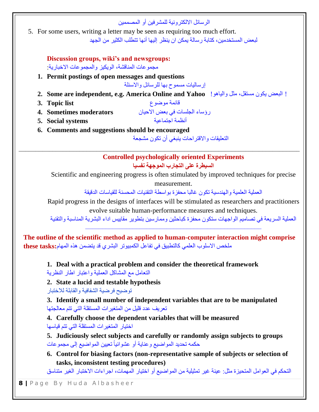|                                                    | الر سائل الإلكتر و نبة للمشر فبن أو المصممبن                                                |
|----------------------------------------------------|---------------------------------------------------------------------------------------------|
|                                                    | 5. For some users, writing a letter may be seen as requiring too much effort.               |
|                                                    | لبعض المستخدمين، كتابة ر سالة بمكن ان بنظر  إليها أنها تتطلب الكثير  من الجهد               |
| Discussion groups, wiki's and newsgroups:          |                                                                                             |
| مجمو عات المناقشة، الويكيز والمجمو عات الاخبار ية: |                                                                                             |
| 1. Permit postings of open messages and questions  |                                                                                             |
|                                                    | إرساليات مسموح بها للرسائل والاسئلة                                                         |
|                                                    | ! البعض يكون مستقل، مثل والياهو!    2.  Some are independent, e.g. America Online and Yahoo |
| 3. Topic list                                      | قائمة موضوع                                                                                 |
| 4. Sometimes moderators                            | رؤساء الجلسات في بعض الاحيان                                                                |
| 5. Social systems                                  | أنظمة احتماعية                                                                              |
| 6. Comments and suggestions should be encouraged   |                                                                                             |
|                                                    | التعليقات و الاقتر احات ينبغي أن تكون مشجعة                                                 |
|                                                    |                                                                                             |
|                                                    | <b>Controlled psychologically oriented Experiments</b>                                      |
|                                                    | السيطرة على التجارب الموجهة نفسيا                                                           |

Scientific and engineering progress is often stimulated by improved techniques for precise measurement.

العملية العلمية والهندسية تكون غالبا محفزة بواسطة التقنيات المحسنة للقياسات الدقيقة

Rapid progress in the designs of interfaces will be stimulated as researchers and practitioners evolve suitable human-performance measures and techniques.

العملية السريعة في تصاميم الواجهات ستكون محفزة كباحثين وممارسين بتطوير مقاييس اداء البشرية المناسبة والتقنية ––––––––––––––––––––––––––––––––––––––––––––––––––––

**The outline of the scientific method as applied to human-computer interaction might comprise** ملخص االسلوب العلمي كالتطبيق في تفاعل الكمبيوتر البشري قد يتضمن هذه المهام**:tasks these**

**1. Deal with a practical problem and consider the theoretical framework**

التعامل مع المشاكل العملية واعتبار اطار النظرية

**2. State a lucid and testable hypothesis**

توضيح فرضية الشفافية والقابلة لالختبار

**3. Identify a small number of independent variables that are to be manipulated** تعريف عدد قليل من المتغيرات المستقلة التي تتم معالجتها

**4. Carefully choose the dependent variables that will be measured** اختيار المتغيرات المستقلة التي تتم قياسها

**5. Judiciously select subjects and carefully or randomly assign subjects to groups** حكمه تحديد المواضيع وعناية أو عشوائياً تعيين المواضيع إلى مجموعات ً

**6. Control for biasing factors (non-representative sample of subjects or selection of tasks, inconsistent testing procedures)**

التحكم في العوامل المتحيزة مثل: عينة غير تمثيلية من المواضيع أو اختيار المهمات، اجراءات االختبار الغير متناسق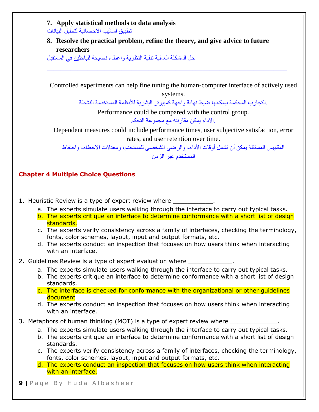| 7. Apply statistical methods to data analysis<br>تطبيق اساليب الاحصائية لتحليل البيانات                                                                                              |  |  |  |  |  |  |
|--------------------------------------------------------------------------------------------------------------------------------------------------------------------------------------|--|--|--|--|--|--|
| 8. Resolve the practical problem, refine the theory, and give advice to future<br>researchers                                                                                        |  |  |  |  |  |  |
|                                                                                                                                                                                      |  |  |  |  |  |  |
|                                                                                                                                                                                      |  |  |  |  |  |  |
| Controlled experiments can help fine tuning the human-computer interface of actively used<br>systems.                                                                                |  |  |  |  |  |  |
| التجارب المحكمة بإمكانها ضبط نهاية واجهة كمبيوتر البشرية للأنظمة المستخدمة النشطة                                                                                                    |  |  |  |  |  |  |
| Performance could be compared with the control group.                                                                                                                                |  |  |  |  |  |  |
| .الاداء يمكن مقارنته مع مجموعة التحكم                                                                                                                                                |  |  |  |  |  |  |
| Dependent measures could include performance times, user subjective satisfaction, error<br>rates, and user retention over time.                                                      |  |  |  |  |  |  |
| المقاييس المستقلة يمكن أن تشمل أوقات الأداء، والرضي الشخصي للمستخدم، ومعدلات الاخطاء، واحتفاظ                                                                                        |  |  |  |  |  |  |
| المستخدم عبر الزمن                                                                                                                                                                   |  |  |  |  |  |  |
|                                                                                                                                                                                      |  |  |  |  |  |  |
| <b>Chapter 4 Multiple Choice Questions</b>                                                                                                                                           |  |  |  |  |  |  |
|                                                                                                                                                                                      |  |  |  |  |  |  |
|                                                                                                                                                                                      |  |  |  |  |  |  |
| 1. Heuristic Review is a type of expert review where ____________.                                                                                                                   |  |  |  |  |  |  |
| a. The experts simulate users walking through the interface to carry out typical tasks.<br>b. The experts critique an interface to determine conformance with a short list of design |  |  |  |  |  |  |
| standards.<br>c. The experts verify consistency across a family of interfaces, checking the terminology,                                                                             |  |  |  |  |  |  |
| fonts, color schemes, layout, input and output formats, etc.                                                                                                                         |  |  |  |  |  |  |
| d. The experts conduct an inspection that focuses on how users think when interacting<br>with an interface.                                                                          |  |  |  |  |  |  |
|                                                                                                                                                                                      |  |  |  |  |  |  |
| 2. Guidelines Review is a type of expert evaluation where _____________.<br>a. The experts simulate users walking through the interface to carry out typical tasks.                  |  |  |  |  |  |  |
| b. The experts critique an interface to determine conformance with a short list of design<br>standards.                                                                              |  |  |  |  |  |  |
| c. The interface is checked for conformance with the organizational or other guidelines                                                                                              |  |  |  |  |  |  |
| document<br>d. The experts conduct an inspection that focuses on how users think when interacting                                                                                    |  |  |  |  |  |  |
| with an interface.                                                                                                                                                                   |  |  |  |  |  |  |
| 3. Metaphors of human thinking (MOT) is a type of expert review where ____________.                                                                                                  |  |  |  |  |  |  |
| a. The experts simulate users walking through the interface to carry out typical tasks.                                                                                              |  |  |  |  |  |  |
| b. The experts critique an interface to determine conformance with a short list of design<br>standards.                                                                              |  |  |  |  |  |  |
| c. The experts verify consistency across a family of interfaces, checking the terminology,                                                                                           |  |  |  |  |  |  |
| fonts, color schemes, layout, input and output formats, etc.                                                                                                                         |  |  |  |  |  |  |
| d. The experts conduct an inspection that focuses on how users think when interacting<br>with an interface.                                                                          |  |  |  |  |  |  |
| <b>9</b>   Page By Huda Albasheer                                                                                                                                                    |  |  |  |  |  |  |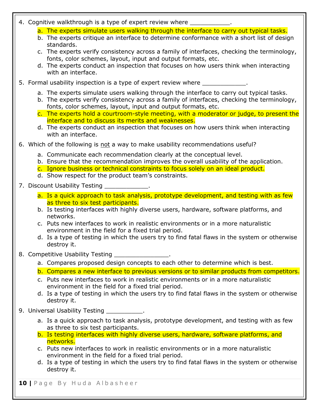|  |  | 4. Cognitive walkthrough is a type of expert review where |  |  |  |  |
|--|--|-----------------------------------------------------------|--|--|--|--|
|--|--|-----------------------------------------------------------|--|--|--|--|

- a. The experts simulate users walking through the interface to carry out typical tasks.
- b. The experts critique an interface to determine conformance with a short list of design standards.
- c. The experts verify consistency across a family of interfaces, checking the terminology, fonts, color schemes, layout, input and output formats, etc.
- d. The experts conduct an inspection that focuses on how users think when interacting with an interface.
- 5. Formal usability inspection is a type of expert review where \_\_\_\_\_\_\_\_\_
	- a. The experts simulate users walking through the interface to carry out typical tasks.
	- b. The experts verify consistency across a family of interfaces, checking the terminology, fonts, color schemes, layout, input and output formats, etc.
	- c. The experts hold a courtroom-style meeting, with a moderator or judge, to present the interface and to discuss its merits and weaknesses.
	- d. The experts conduct an inspection that focuses on how users think when interacting with an interface.
- 6. Which of the following is not a way to make usability recommendations useful?
	- a. Communicate each recommendation clearly at the conceptual level.
	- b. Ensure that the recommendation improves the overall usability of the application.
	- c. Ignore business or technical constraints to focus solely on an ideal product.
	- d. Show respect for the product team's constraints.
- 7. Discount Usability Testing \_\_
	- a. Is a quick approach to task analysis, prototype development, and testing with as few as three to six test participants.
	- b. Is testing interfaces with highly diverse users, hardware, software platforms, and networks.
	- c. Puts new interfaces to work in realistic environments or in a more naturalistic environment in the field for a fixed trial period.
	- d. Is a type of testing in which the users try to find fatal flaws in the system or otherwise destroy it.
- 8. Competitive Usability Testing
	- a. Compares proposed design concepts to each other to determine which is best.
	- b. Compares a new interface to previous versions or to similar products from competitors.
	- c. Puts new interfaces to work in realistic environments or in a more naturalistic environment in the field for a fixed trial period.
	- d. Is a type of testing in which the users try to find fatal flaws in the system or otherwise destroy it.
- 9. Universal Usability Testing Theorem 2012.
	- a. Is a quick approach to task analysis, prototype development, and testing with as few as three to six test participants.
	- b. Is testing interfaces with highly diverse users, hardware, software platforms, and networks.
	- c. Puts new interfaces to work in realistic environments or in a more naturalistic environment in the field for a fixed trial period.
	- d. Is a type of testing in which the users try to find fatal flaws in the system or otherwise destroy it.
- **10** | Page By Huda Albasheer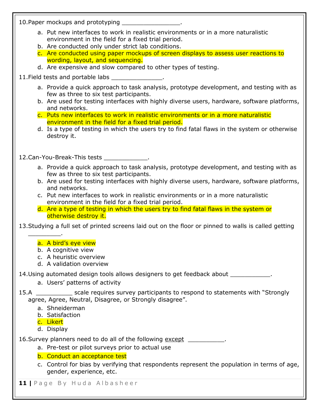10.Paper mockups and prototyping \_\_\_\_\_\_\_\_\_\_\_\_\_\_\_\_.

- a. Put new interfaces to work in realistic environments or in a more naturalistic environment in the field for a fixed trial period.
- b. Are conducted only under strict lab conditions.

c. Are conducted using paper mockups of screen displays to assess user reactions to wording, layout, and sequencing.

d. Are expensive and slow compared to other types of testing.

11. Field tests and portable labs

- a. Provide a quick approach to task analysis, prototype development, and testing with as few as three to six test participants.
- b. Are used for testing interfaces with highly diverse users, hardware, software platforms, and networks.
- c. Puts new interfaces to work in realistic environments or in a more naturalistic environment in the field for a fixed trial period.
- d. Is a type of testing in which the users try to find fatal flaws in the system or otherwise destroy it.

12.Can-You-Break-This tests \_\_\_\_\_\_\_\_\_\_\_\_.

- a. Provide a quick approach to task analysis, prototype development, and testing with as few as three to six test participants.
- b. Are used for testing interfaces with highly diverse users, hardware, software platforms, and networks.
- c. Put new interfaces to work in realistic environments or in a more naturalistic environment in the field for a fixed trial period.
- d. Are a type of testing in which the users try to find fatal flaws in the system or otherwise destroy it.

13.Studying a full set of printed screens laid out on the floor or pinned to walls is called getting

#### a. A bird's eye view

- b. A cognitive view
- c. A heuristic overview
- d. A validation overview

14.Using automated design tools allows designers to get feedback about \_\_\_\_\_\_\_\_\_\_\_.

a. Users' patterns of activity

15.A \_\_\_\_\_\_\_\_\_\_ scale requires survey participants to respond to statements with "Strongly agree, Agree, Neutral, Disagree, or Strongly disagree".

- a. Shneiderman
- b. Satisfaction
- c. Likert

\_\_\_\_\_\_\_\_\_.

d. Display

16.Survey planners need to do all of the following except \_\_\_\_\_\_\_\_\_\_.

a. Pre-test or pilot surveys prior to actual use

b. Conduct an acceptance test

c. Control for bias by verifying that respondents represent the population in terms of age, gender, experience, etc.